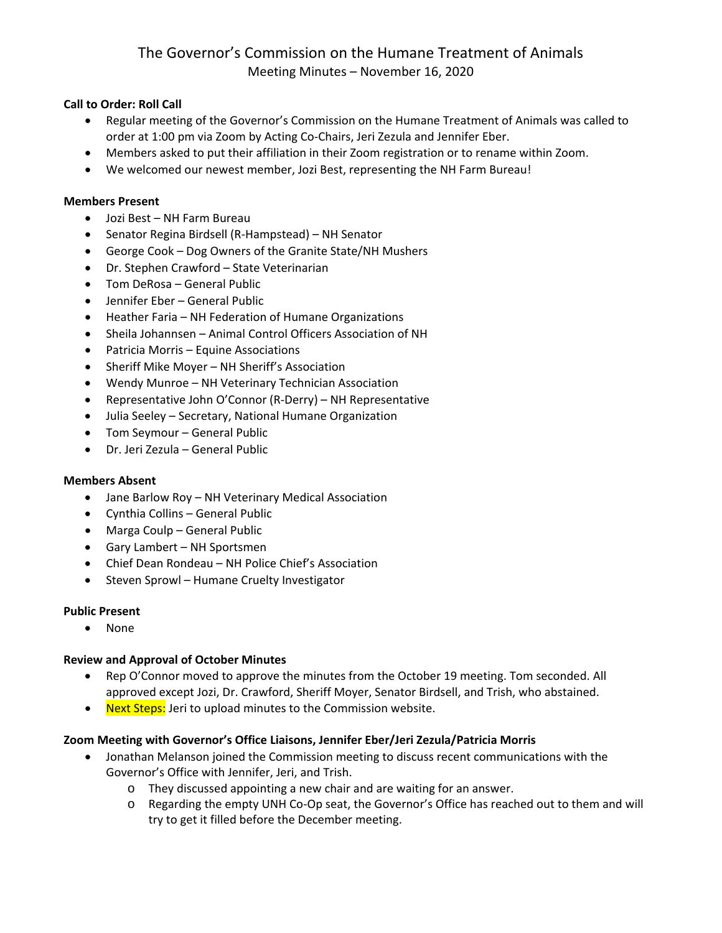## **Call to Order: Roll Call**

- Regular meeting of the Governor's Commission on the Humane Treatment of Animals was called to order at 1:00 pm via Zoom by Acting Co-Chairs, Jeri Zezula and Jennifer Eber.
- Members asked to put their affiliation in their Zoom registration or to rename within Zoom.
- We welcomed our newest member, Jozi Best, representing the NH Farm Bureau!

#### **Members Present**

- Jozi Best NH Farm Bureau
- Senator Regina Birdsell (R-Hampstead) NH Senator
- George Cook Dog Owners of the Granite State/NH Mushers
- Dr. Stephen Crawford State Veterinarian
- Tom DeRosa General Public
- Jennifer Eber General Public
- Heather Faria NH Federation of Humane Organizations
- Sheila Johannsen Animal Control Officers Association of NH
- Patricia Morris Equine Associations
- Sheriff Mike Moyer NH Sheriff's Association
- Wendy Munroe NH Veterinary Technician Association
- Representative John O'Connor (R-Derry) NH Representative
- Julia Seeley Secretary, National Humane Organization
- Tom Seymour General Public
- Dr. Jeri Zezula General Public

#### **Members Absent**

- Jane Barlow Roy NH Veterinary Medical Association
- Cynthia Collins General Public
- Marga Coulp General Public
- Gary Lambert NH Sportsmen
- Chief Dean Rondeau NH Police Chief's Association
- Steven Sprowl Humane Cruelty Investigator

#### **Public Present**

• None

#### **Review and Approval of October Minutes**

- Rep O'Connor moved to approve the minutes from the October 19 meeting. Tom seconded. All approved except Jozi, Dr. Crawford, Sheriff Moyer, Senator Birdsell, and Trish, who abstained.
- Next Steps: Jeri to upload minutes to the Commission website.

#### **Zoom Meeting with Governor's Office Liaisons, Jennifer Eber/Jeri Zezula/Patricia Morris**

- Jonathan Melanson joined the Commission meeting to discuss recent communications with the Governor's Office with Jennifer, Jeri, and Trish.
	- o They discussed appointing a new chair and are waiting for an answer.
	- o Regarding the empty UNH Co-Op seat, the Governor's Office has reached out to them and will try to get it filled before the December meeting.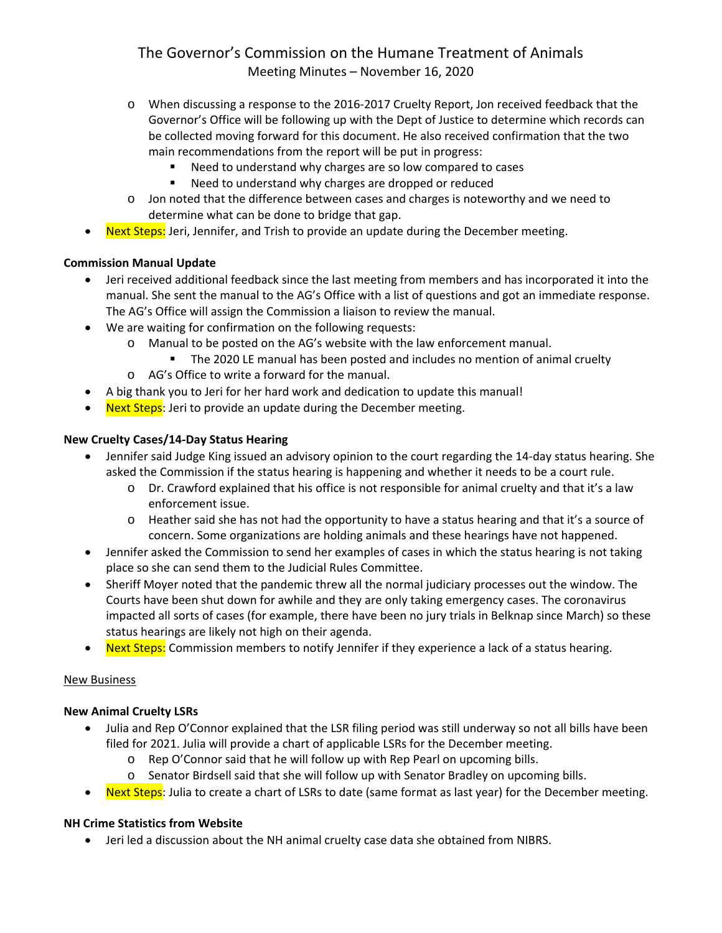- o When discussing a response to the 2016-2017 Cruelty Report, Jon received feedback that the Governor's Office will be following up with the Dept of Justice to determine which records can be collected moving forward for this document. He also received confirmation that the two main recommendations from the report will be put in progress:
	- Need to understand why charges are so low compared to cases
	- Need to understand why charges are dropped or reduced
- o Jon noted that the difference between cases and charges is noteworthy and we need to determine what can be done to bridge that gap.
- Next Steps: Jeri, Jennifer, and Trish to provide an update during the December meeting.

## **Commission Manual Update**

- Jeri received additional feedback since the last meeting from members and has incorporated it into the manual. She sent the manual to the AG's Office with a list of questions and got an immediate response. The AG's Office will assign the Commission a liaison to review the manual.
- We are waiting for confirmation on the following requests:
	- o Manual to be posted on the AG's website with the law enforcement manual.
		- The 2020 LE manual has been posted and includes no mention of animal cruelty
	- o AG's Office to write a forward for the manual.
- A big thank you to Jeri for her hard work and dedication to update this manual!
- Next Steps: Jeri to provide an update during the December meeting.

## **New Cruelty Cases/14-Day Status Hearing**

- Jennifer said Judge King issued an advisory opinion to the court regarding the 14-day status hearing. She asked the Commission if the status hearing is happening and whether it needs to be a court rule.
	- o Dr. Crawford explained that his office is not responsible for animal cruelty and that it's a law enforcement issue.
	- o Heather said she has not had the opportunity to have a status hearing and that it's a source of concern. Some organizations are holding animals and these hearings have not happened.
- Jennifer asked the Commission to send her examples of cases in which the status hearing is not taking place so she can send them to the Judicial Rules Committee.
- Sheriff Moyer noted that the pandemic threw all the normal judiciary processes out the window. The Courts have been shut down for awhile and they are only taking emergency cases. The coronavirus impacted all sorts of cases (for example, there have been no jury trials in Belknap since March) so these status hearings are likely not high on their agenda.
- Next Steps: Commission members to notify Jennifer if they experience a lack of a status hearing.

## New Business

## **New Animal Cruelty LSRs**

- Julia and Rep O'Connor explained that the LSR filing period was still underway so not all bills have been filed for 2021. Julia will provide a chart of applicable LSRs for the December meeting.
	- o Rep O'Connor said that he will follow up with Rep Pearl on upcoming bills.
	- o Senator Birdsell said that she will follow up with Senator Bradley on upcoming bills.
- Next Steps: Julia to create a chart of LSRs to date (same format as last year) for the December meeting.

## **NH Crime Statistics from Website**

• Jeri led a discussion about the NH animal cruelty case data she obtained from NIBRS.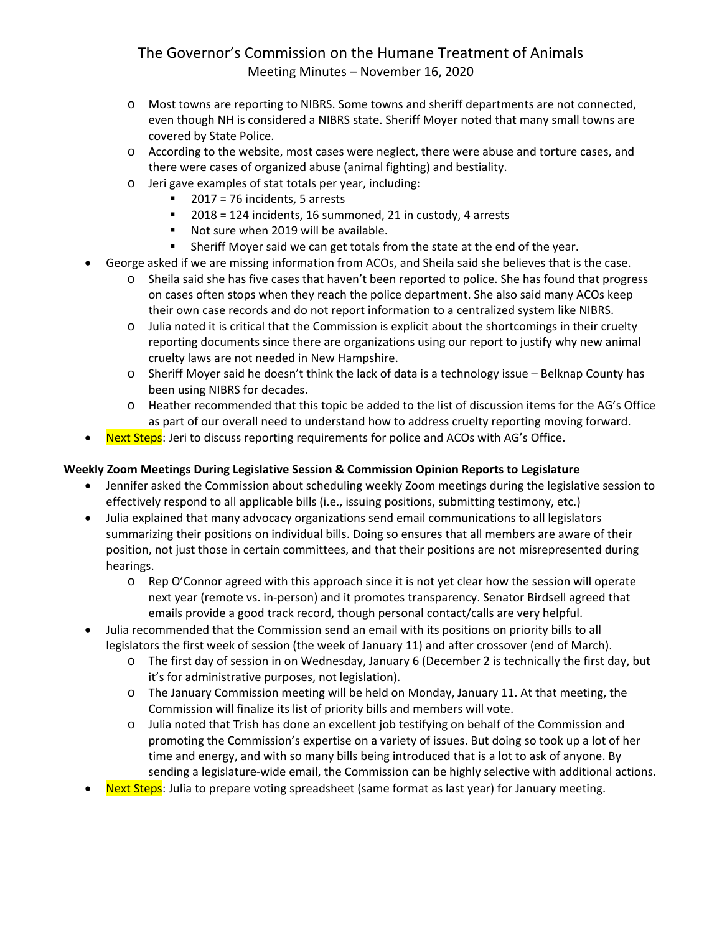- o Most towns are reporting to NIBRS. Some towns and sheriff departments are not connected, even though NH is considered a NIBRS state. Sheriff Moyer noted that many small towns are covered by State Police.
- o According to the website, most cases were neglect, there were abuse and torture cases, and there were cases of organized abuse (animal fighting) and bestiality.
- o Jeri gave examples of stat totals per year, including:
	- $\blacksquare$  2017 = 76 incidents, 5 arrests
	- 2018 = 124 incidents, 16 summoned, 21 in custody, 4 arrests
	- Not sure when 2019 will be available.
	- **Sheriff Moyer said we can get totals from the state at the end of the year.**
- George asked if we are missing information from ACOs, and Sheila said she believes that is the case.
	- o Sheila said she has five cases that haven't been reported to police. She has found that progress on cases often stops when they reach the police department. She also said many ACOs keep their own case records and do not report information to a centralized system like NIBRS.
	- o Julia noted it is critical that the Commission is explicit about the shortcomings in their cruelty reporting documents since there are organizations using our report to justify why new animal cruelty laws are not needed in New Hampshire.
	- o Sheriff Moyer said he doesn't think the lack of data is a technology issue Belknap County has been using NIBRS for decades.
	- o Heather recommended that this topic be added to the list of discussion items for the AG's Office as part of our overall need to understand how to address cruelty reporting moving forward.
- Next Steps: Jeri to discuss reporting requirements for police and ACOs with AG's Office.

## **Weekly Zoom Meetings During Legislative Session & Commission Opinion Reports to Legislature**

- Jennifer asked the Commission about scheduling weekly Zoom meetings during the legislative session to effectively respond to all applicable bills (i.e., issuing positions, submitting testimony, etc.)
- Julia explained that many advocacy organizations send email communications to all legislators summarizing their positions on individual bills. Doing so ensures that all members are aware of their position, not just those in certain committees, and that their positions are not misrepresented during hearings.
	- o Rep O'Connor agreed with this approach since it is not yet clear how the session will operate next year (remote vs. in-person) and it promotes transparency. Senator Birdsell agreed that emails provide a good track record, though personal contact/calls are very helpful.
- Julia recommended that the Commission send an email with its positions on priority bills to all legislators the first week of session (the week of January 11) and after crossover (end of March).
	- o The first day of session in on Wednesday, January 6 (December 2 is technically the first day, but it's for administrative purposes, not legislation).
	- o The January Commission meeting will be held on Monday, January 11. At that meeting, the Commission will finalize its list of priority bills and members will vote.
	- o Julia noted that Trish has done an excellent job testifying on behalf of the Commission and promoting the Commission's expertise on a variety of issues. But doing so took up a lot of her time and energy, and with so many bills being introduced that is a lot to ask of anyone. By sending a legislature-wide email, the Commission can be highly selective with additional actions.
- Next Steps: Julia to prepare voting spreadsheet (same format as last year) for January meeting.